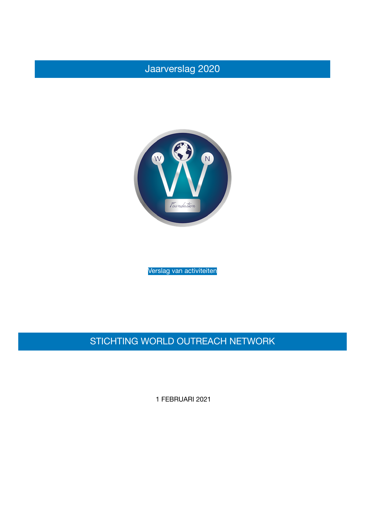## Jaarverslag 2020



Verslag van activiteiten

## STICHTING WORLD OUTREACH NETWORK

1 FEBRUARI 2021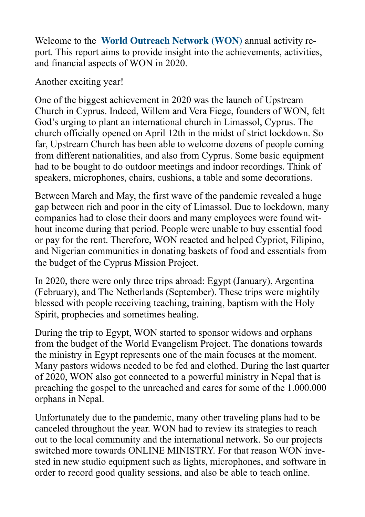Welcome to the **World Outreach Network (WON)** annual activity report. This report aims to provide insight into the achievements, activities, and financial aspects of WON in 2020.

Another exciting year!

One of the biggest achievement in 2020 was the launch of Upstream Church in Cyprus. Indeed, Willem and Vera Fiege, founders of WON, felt God's urging to plant an international church in Limassol, Cyprus. The church officially opened on April 12th in the midst of strict lockdown. So far, Upstream Church has been able to welcome dozens of people coming from different nationalities, and also from Cyprus. Some basic equipment had to be bought to do outdoor meetings and indoor recordings. Think of speakers, microphones, chairs, cushions, a table and some decorations.

Between March and May, the first wave of the pandemic revealed a huge gap between rich and poor in the city of Limassol. Due to lockdown, many companies had to close their doors and many employees were found without income during that period. People were unable to buy essential food or pay for the rent. Therefore, WON reacted and helped Cypriot, Filipino, and Nigerian communities in donating baskets of food and essentials from the budget of the Cyprus Mission Project.

In 2020, there were only three trips abroad: Egypt (January), Argentina (February), and The Netherlands (September). These trips were mightily blessed with people receiving teaching, training, baptism with the Holy Spirit, prophecies and sometimes healing.

During the trip to Egypt, WON started to sponsor widows and orphans from the budget of the World Evangelism Project. The donations towards the ministry in Egypt represents one of the main focuses at the moment. Many pastors widows needed to be fed and clothed. During the last quarter of 2020, WON also got connected to a powerful ministry in Nepal that is preaching the gospel to the unreached and cares for some of the 1.000.000 orphans in Nepal.

Unfortunately due to the pandemic, many other traveling plans had to be canceled throughout the year. WON had to review its strategies to reach out to the local community and the international network. So our projects switched more towards ONLINE MINISTRY. For that reason WON invested in new studio equipment such as lights, microphones, and software in order to record good quality sessions, and also be able to teach online.